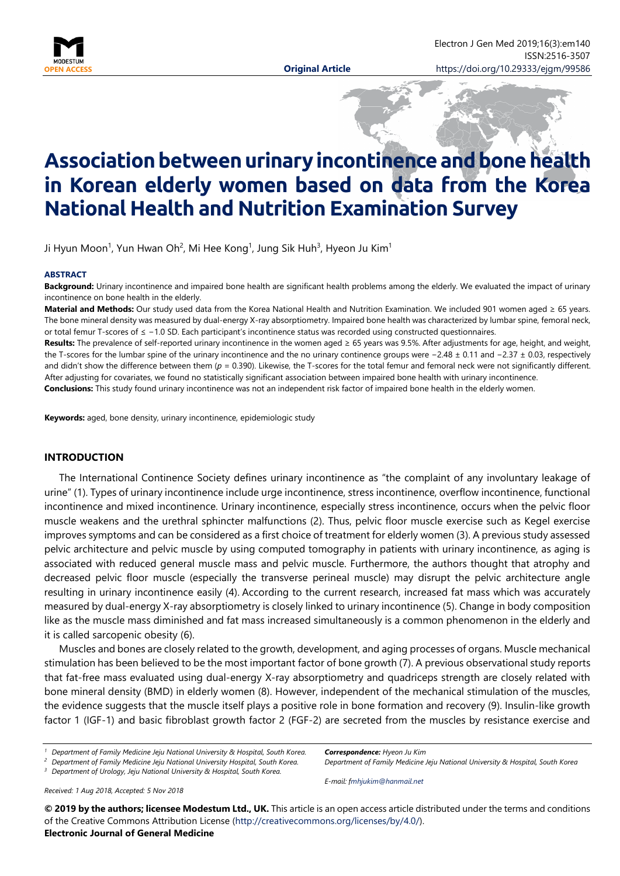

# **Associationbetweenurinaryincontinenceandbonehealth in Korean elderly women based on data from the Korea National Health and Nutrition Examination Survey**

Ji Hyun Moon<sup>1</sup>, Yun Hwan Oh<sup>2</sup>, Mi Hee Kong<sup>1</sup>, Jung Sik Huh<sup>3</sup>, Hyeon Ju Kim<sup>1</sup>

#### **ABSTRACT**

**Background:** Urinary incontinence and impaired bone health are significant health problems among the elderly. We evaluated the impact of urinary incontinence on bone health in the elderly.

**Material and Methods:** Our study used data from the Korea National Health and Nutrition Examination. We included 901 women aged ≥ 65 years. The bone mineral density was measured by dual-energy X-ray absorptiometry. Impaired bone health was characterized by lumbar spine, femoral neck, or total femur T-scores of ≤ −1.0 SD. Each participant's incontinence status was recorded using constructed questionnaires.

**Results:** The prevalence of self-reported urinary incontinence in the women aged ≥ 65 years was 9.5%. After adjustments for age, height, and weight, the T-scores for the lumbar spine of the urinary incontinence and the no urinary continence groups were −2.48 ± 0.11 and −2.37 ± 0.03, respectively and didn't show the difference between them  $(p = 0.390)$ . Likewise, the T-scores for the total femur and femoral neck were not significantly different. After adjusting for covariates, we found no statistically significant association between impaired bone health with urinary incontinence. **Conclusions:** This study found urinary incontinence was not an independent risk factor of impaired bone health in the elderly women.

**Keywords:** aged, bone density, urinary incontinence, epidemiologic study

### **INTRODUCTION**

The International Continence Society defines urinary incontinence as "the complaint of any involuntary leakage of urine" (1). Types of urinary incontinence include urge incontinence, stress incontinence, overflow incontinence, functional incontinence and mixed incontinence. Urinary incontinence, especially stress incontinence, occurs when the pelvic floor muscle weakens and the urethral sphincter malfunctions (2). Thus, pelvic floor muscle exercise such as Kegel exercise improves symptoms and can be considered as a first choice of treatment for elderly women (3). A previous study assessed pelvic architecture and pelvic muscle by using computed tomography in patients with urinary incontinence, as aging is associated with reduced general muscle mass and pelvic muscle. Furthermore, the authors thought that atrophy and decreased pelvic floor muscle (especially the transverse perineal muscle) may disrupt the pelvic architecture angle resulting in urinary incontinence easily (4). According to the current research, increased fat mass which was accurately measured by dual-energy X-ray absorptiometry is closely linked to urinary incontinence (5). Change in body composition like as the muscle mass diminished and fat mass increased simultaneously is a common phenomenon in the elderly and it is called sarcopenic obesity (6).

Muscles and bones are closely related to the growth, development, and aging processes of organs. Muscle mechanical stimulation has been believed to be the most important factor of bone growth (7). A previous observational study reports that fat-free mass evaluated using dual-energy X-ray absorptiometry and quadriceps strength are closely related with bone mineral density (BMD) in elderly women (8). However, independent of the mechanical stimulation of the muscles, the evidence suggests that the muscle itself plays a positive role in bone formation and recovery (9). Insulin-like growth factor 1 (IGF-1) and basic fibroblast growth factor 2 (FGF-2) are secreted from the muscles by resistance exercise and

- *<sup>1</sup> Department of Family Medicine Jeju National University & Hospital, South Korea.*
- *<sup>2</sup> Department of Family Medicine Jeju National University Hospital, South Korea.*
- *<sup>3</sup> Department of Urology, Jeju National University & Hospital, South Korea.*

*Received: 1 Aug 2018, Accepted: 5 Nov 2018*

*Correspondence: Hyeon Ju Kim Department of Family Medicine Jeju National University & Hospital, South Korea*

*E-mail: [fmhjukim@hanmail.net](mailto:fmhjukim@hanmail.net)*

**© 2019 by the authors; licensee Modestum Ltd., UK.** This article is an open access article distributed under the terms and conditions of the Creative Commons Attribution License [\(http://creativecommons.org/licenses/by/4.0/\)](http://creativecommons.org/licenses/by/4.0/).

## **Electronic Journal of General Medicine**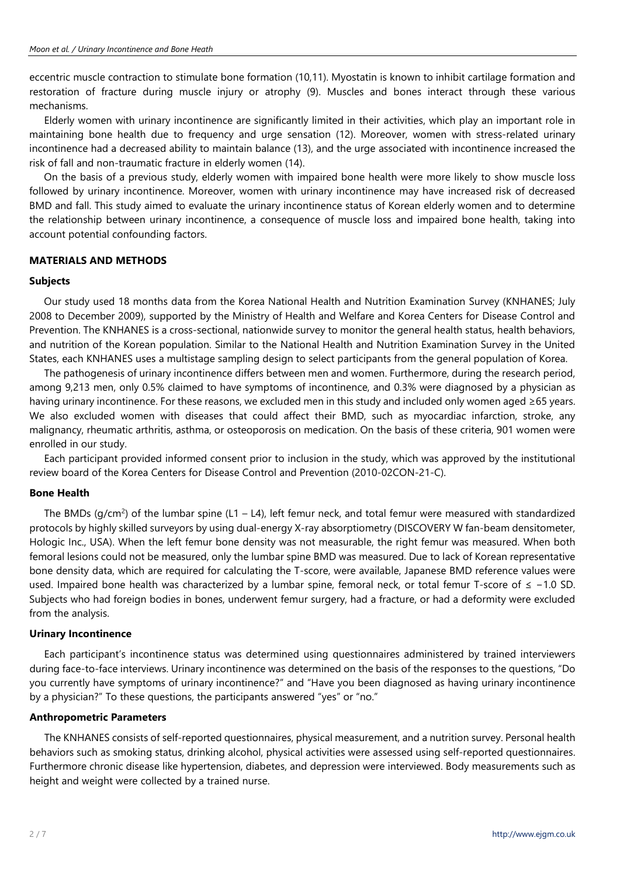eccentric muscle contraction to stimulate bone formation (10,11). Myostatin is known to inhibit cartilage formation and restoration of fracture during muscle injury or atrophy (9). Muscles and bones interact through these various mechanisms.

Elderly women with urinary incontinence are significantly limited in their activities, which play an important role in maintaining bone health due to frequency and urge sensation (12). Moreover, women with stress-related urinary incontinence had a decreased ability to maintain balance (13), and the urge associated with incontinence increased the risk of fall and non-traumatic fracture in elderly women (14).

On the basis of a previous study, elderly women with impaired bone health were more likely to show muscle loss followed by urinary incontinence. Moreover, women with urinary incontinence may have increased risk of decreased BMD and fall. This study aimed to evaluate the urinary incontinence status of Korean elderly women and to determine the relationship between urinary incontinence, a consequence of muscle loss and impaired bone health, taking into account potential confounding factors.

# **MATERIALS AND METHODS**

### **Subjects**

Our study used 18 months data from the Korea National Health and Nutrition Examination Survey (KNHANES; July 2008 to December 2009), supported by the Ministry of Health and Welfare and Korea Centers for Disease Control and Prevention. The KNHANES is a cross-sectional, nationwide survey to monitor the general health status, health behaviors, and nutrition of the Korean population. Similar to the National Health and Nutrition Examination Survey in the United States, each KNHANES uses a multistage sampling design to select participants from the general population of Korea.

The pathogenesis of urinary incontinence differs between men and women. Furthermore, during the research period, among 9,213 men, only 0.5% claimed to have symptoms of incontinence, and 0.3% were diagnosed by a physician as having urinary incontinence. For these reasons, we excluded men in this study and included only women aged ≥65 years. We also excluded women with diseases that could affect their BMD, such as myocardiac infarction, stroke, any malignancy, rheumatic arthritis, asthma, or osteoporosis on medication. On the basis of these criteria, 901 women were enrolled in our study.

Each participant provided informed consent prior to inclusion in the study, which was approved by the institutional review board of the Korea Centers for Disease Control and Prevention (2010-02CON-21-C).

### **Bone Health**

The BMDs (g/cm<sup>2</sup>) of the lumbar spine (L1 – L4), left femur neck, and total femur were measured with standardized protocols by highly skilled surveyors by using dual-energy X-ray absorptiometry (DISCOVERY W fan-beam densitometer, Hologic Inc., USA). When the left femur bone density was not measurable, the right femur was measured. When both femoral lesions could not be measured, only the lumbar spine BMD was measured. Due to lack of Korean representative bone density data, which are required for calculating the T-score, were available, Japanese BMD reference values were used. Impaired bone health was characterized by a lumbar spine, femoral neck, or total femur T-score of ≤ −1.0 SD. Subjects who had foreign bodies in bones, underwent femur surgery, had a fracture, or had a deformity were excluded from the analysis.

#### **Urinary Incontinence**

Each participant's incontinence status was determined using questionnaires administered by trained interviewers during face-to-face interviews. Urinary incontinence was determined on the basis of the responses to the questions, "Do you currently have symptoms of urinary incontinence?" and "Have you been diagnosed as having urinary incontinence by a physician?" To these questions, the participants answered "yes" or "no."

### **Anthropometric Parameters**

The KNHANES consists of self-reported questionnaires, physical measurement, and a nutrition survey. Personal health behaviors such as smoking status, drinking alcohol, physical activities were assessed using self-reported questionnaires. Furthermore chronic disease like hypertension, diabetes, and depression were interviewed. Body measurements such as height and weight were collected by a trained nurse.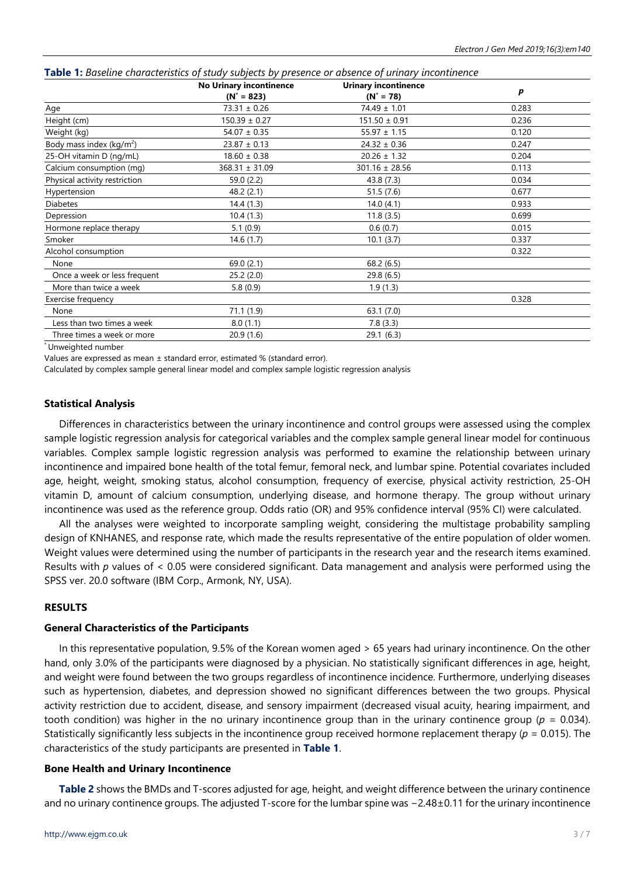|                               | <b>No Urinary incontinence</b> | <b>Urinary incontinence</b> |                  |
|-------------------------------|--------------------------------|-----------------------------|------------------|
|                               | $(N^* = 823)$                  | $(N^* = 78)$                | $\boldsymbol{p}$ |
| Age                           | $73.31 \pm 0.26$               | $74.49 \pm 1.01$            | 0.283            |
| Height (cm)                   | $150.39 \pm 0.27$              | $151.50 \pm 0.91$           | 0.236            |
| Weight (kg)                   | $54.07 \pm 0.35$               | $55.97 \pm 1.15$            | 0.120            |
| Body mass index ( $kg/m2$ )   | $23.87 \pm 0.13$               | $24.32 \pm 0.36$            | 0.247            |
| 25-OH vitamin D (ng/mL)       | $18.60 \pm 0.38$               | $20.26 \pm 1.32$            | 0.204            |
| Calcium consumption (mg)      | $368.31 \pm 31.09$             | $301.16 \pm 28.56$          | 0.113            |
| Physical activity restriction | 59.0 (2.2)                     | 43.8 (7.3)                  | 0.034            |
| Hypertension                  | 48.2 (2.1)                     | 51.5(7.6)                   | 0.677            |
| <b>Diabetes</b>               | 14.4(1.3)                      | 14.0(4.1)                   | 0.933            |
| Depression                    | 10.4(1.3)                      | 11.8(3.5)                   | 0.699            |
| Hormone replace therapy       | 5.1(0.9)                       | 0.6(0.7)                    | 0.015            |
| Smoker                        | 14.6(1.7)                      | 10.1(3.7)                   | 0.337            |
| Alcohol consumption           |                                |                             | 0.322            |
| None                          | 69.0 (2.1)                     | 68.2 (6.5)                  |                  |
| Once a week or less frequent  | 25.2(2.0)                      | 29.8 (6.5)                  |                  |
| More than twice a week        | 5.8(0.9)                       | 1.9(1.3)                    |                  |
| Exercise frequency            |                                |                             | 0.328            |
| None                          | 71.1(1.9)                      | 63.1 (7.0)                  |                  |
| Less than two times a week    | 8.0(1.1)                       | 7.8(3.3)                    |                  |
| Three times a week or more    | 20.9(1.6)                      | 29.1(6.3)                   |                  |

|  |  | <b>Table 1:</b> Baseline characteristics of study subjects by presence or absence of urinary incontinence |  |  |  |  |  |  |  |  |
|--|--|-----------------------------------------------------------------------------------------------------------|--|--|--|--|--|--|--|--|
|--|--|-----------------------------------------------------------------------------------------------------------|--|--|--|--|--|--|--|--|

\* Unweighted number

Values are expressed as mean ± standard error, estimated % (standard error).

Calculated by complex sample general linear model and complex sample logistic regression analysis

# **Statistical Analysis**

Differences in characteristics between the urinary incontinence and control groups were assessed using the complex sample logistic regression analysis for categorical variables and the complex sample general linear model for continuous variables. Complex sample logistic regression analysis was performed to examine the relationship between urinary incontinence and impaired bone health of the total femur, femoral neck, and lumbar spine. Potential covariates included age, height, weight, smoking status, alcohol consumption, frequency of exercise, physical activity restriction, 25-OH vitamin D, amount of calcium consumption, underlying disease, and hormone therapy. The group without urinary incontinence was used as the reference group. Odds ratio (OR) and 95% confidence interval (95% CI) were calculated.

All the analyses were weighted to incorporate sampling weight, considering the multistage probability sampling design of KNHANES, and response rate, which made the results representative of the entire population of older women. Weight values were determined using the number of participants in the research year and the research items examined. Results with *p* values of < 0.05 were considered significant. Data management and analysis were performed using the SPSS ver. 20.0 software (IBM Corp., Armonk, NY, USA).

### **RESULTS**

### **General Characteristics of the Participants**

In this representative population, 9.5% of the Korean women aged > 65 years had urinary incontinence. On the other hand, only 3.0% of the participants were diagnosed by a physician. No statistically significant differences in age, height, and weight were found between the two groups regardless of incontinence incidence. Furthermore, underlying diseases such as hypertension, diabetes, and depression showed no significant differences between the two groups. Physical activity restriction due to accident, disease, and sensory impairment (decreased visual acuity, hearing impairment, and tooth condition) was higher in the no urinary incontinence group than in the urinary continence group (*p* = 0.034). Statistically significantly less subjects in the incontinence group received hormone replacement therapy (*p* = 0.015). The characteristics of the study participants are presented in **Table 1**.

## **Bone Health and Urinary Incontinence**

**Table 2** shows the BMDs and T-scores adjusted for age, height, and weight difference between the urinary continence and no urinary continence groups. The adjusted T-score for the lumbar spine was −2.48±0.11 for the urinary incontinence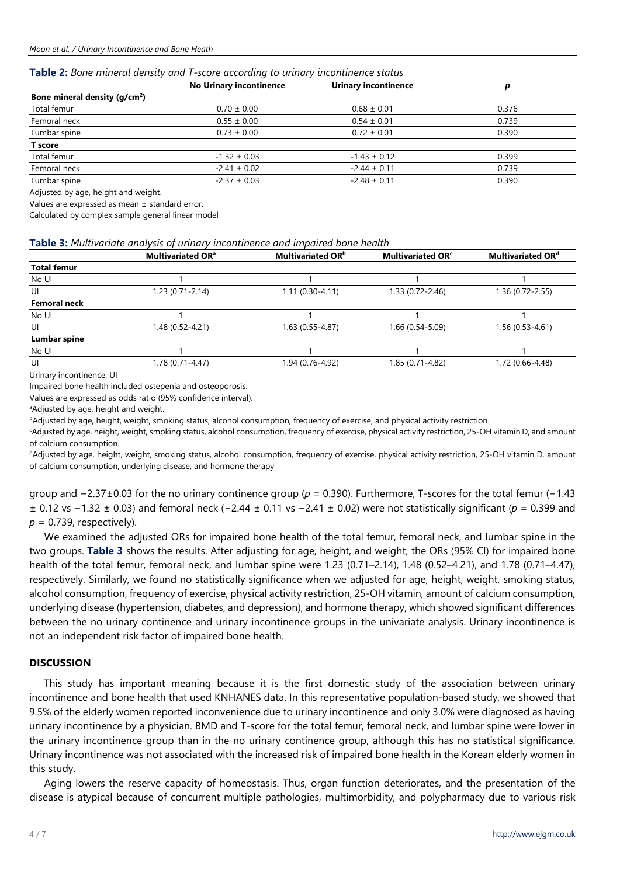#### **Table 2:** *Bone mineral density and T-score according to urinary incontinence status*

|                                | <b>No Urinary incontinence</b> | <b>Urinary incontinence</b> |       |  |
|--------------------------------|--------------------------------|-----------------------------|-------|--|
| Bone mineral density $(q/cm2)$ |                                |                             |       |  |
| Total femur                    | $0.70 \pm 0.00$                | $0.68 \pm 0.01$             | 0.376 |  |
| Femoral neck                   | $0.55 \pm 0.00$                | $0.54 \pm 0.01$             | 0.739 |  |
| Lumbar spine                   | $0.73 \pm 0.00$                | $0.72 \pm 0.01$             | 0.390 |  |
| T score                        |                                |                             |       |  |
| Total femur                    | $-1.32 \pm 0.03$               | $-1.43 \pm 0.12$            | 0.399 |  |
| Femoral neck                   | $-2.41 \pm 0.02$               | $-2.44 \pm 0.11$            | 0.739 |  |
| Lumbar spine                   | $-2.37 \pm 0.03$               | $-2.48 \pm 0.11$            | 0.390 |  |
|                                |                                |                             |       |  |

Adjusted by age, height and weight.

Values are expressed as mean ± standard error.

Calculated by complex sample general linear model

#### **Table 3:** *Multivariate analysis of urinary incontinence and impaired bone health*

|                      | <b>Multivariated OR</b> <sup>a</sup> | Multivariated OR <sup>b</sup> | Multivariated OR <sup>c</sup> | <b>Multivariated ORd</b> |
|----------------------|--------------------------------------|-------------------------------|-------------------------------|--------------------------|
| <b>Total femur</b>   |                                      |                               |                               |                          |
| No UI                |                                      |                               |                               |                          |
| UI                   | 1.23 (0.71-2.14)                     | $1.11(0.30-4.11)$             | 1.33 (0.72-2.46)              | 1.36 (0.72-2.55)         |
| <b>Femoral neck</b>  |                                      |                               |                               |                          |
| No UI                |                                      |                               |                               |                          |
| UI                   | 1.48 (0.52-4.21)                     | 1.63 (0.55-4.87)              | 1.66 (0.54-5.09)              | 1.56 (0.53-4.61)         |
| Lumbar spine         |                                      |                               |                               |                          |
| No UI                |                                      |                               |                               |                          |
| UI                   | 1.78 (0.71-4.47)                     | 1.94 (0.76-4.92)              | 1.85 (0.71-4.82)              | 1.72 (0.66-4.48)         |
| $\sim$ $\sim$ $\sim$ |                                      |                               |                               |                          |

Urinary incontinence: UI

Impaired bone health included ostepenia and osteoporosis.

Values are expressed as odds ratio (95% confidence interval).

aAdjusted by age, height and weight.

bAdjusted by age, height, weight, smoking status, alcohol consumption, frequency of exercise, and physical activity restriction.

c Adjusted by age, height, weight, smoking status, alcohol consumption, frequency of exercise, physical activity restriction, 25-OH vitamin D, and amount of calcium consumption.

dAdjusted by age, height, weight, smoking status, alcohol consumption, frequency of exercise, physical activity restriction, 25-OH vitamin D, amount of calcium consumption, underlying disease, and hormone therapy

group and −2.37±0.03 for the no urinary continence group (*p* = 0.390). Furthermore, T-scores for the total femur (−1.43 ± 0.12 vs −1.32 ± 0.03) and femoral neck (−2.44 ± 0.11 vs −2.41 ± 0.02) were not statistically significant (*p* = 0.399 and *p* = 0.739, respectively).

We examined the adjusted ORs for impaired bone health of the total femur, femoral neck, and lumbar spine in the two groups. **Table 3** shows the results. After adjusting for age, height, and weight, the ORs (95% CI) for impaired bone health of the total femur, femoral neck, and lumbar spine were 1.23 (0.71–2.14), 1.48 (0.52–4.21), and 1.78 (0.71–4.47), respectively. Similarly, we found no statistically significance when we adjusted for age, height, weight, smoking status, alcohol consumption, frequency of exercise, physical activity restriction, 25-OH vitamin, amount of calcium consumption, underlying disease (hypertension, diabetes, and depression), and hormone therapy, which showed significant differences between the no urinary continence and urinary incontinence groups in the univariate analysis. Urinary incontinence is not an independent risk factor of impaired bone health.

### **DISCUSSION**

This study has important meaning because it is the first domestic study of the association between urinary incontinence and bone health that used KNHANES data. In this representative population-based study, we showed that 9.5% of the elderly women reported inconvenience due to urinary incontinence and only 3.0% were diagnosed as having urinary incontinence by a physician. BMD and T-score for the total femur, femoral neck, and lumbar spine were lower in the urinary incontinence group than in the no urinary continence group, although this has no statistical significance. Urinary incontinence was not associated with the increased risk of impaired bone health in the Korean elderly women in this study.

Aging lowers the reserve capacity of homeostasis. Thus, organ function deteriorates, and the presentation of the disease is atypical because of concurrent multiple pathologies, multimorbidity, and polypharmacy due to various risk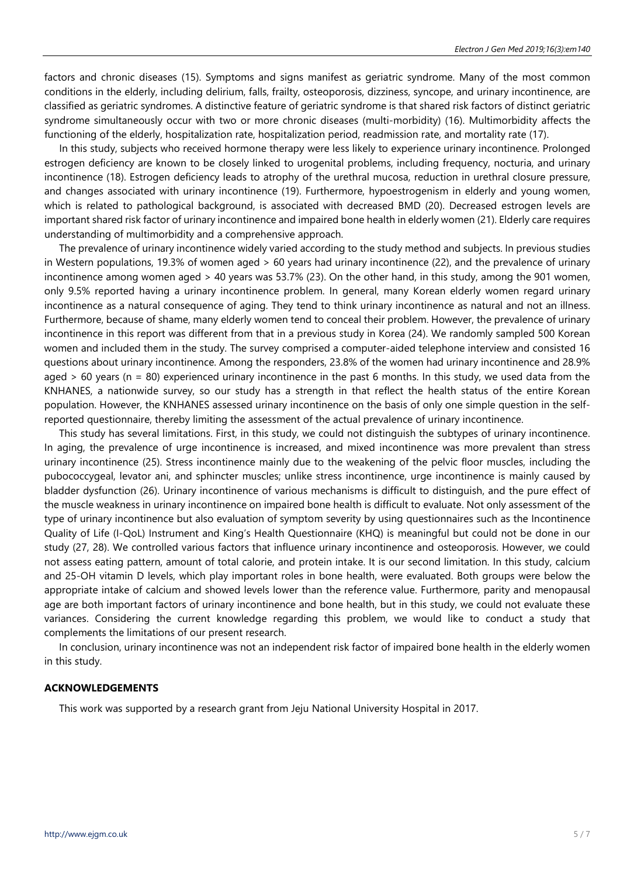factors and chronic diseases (15). Symptoms and signs manifest as geriatric syndrome. Many of the most common conditions in the elderly, including delirium, falls, frailty, osteoporosis, dizziness, syncope, and urinary incontinence, are classified as geriatric syndromes. A distinctive feature of geriatric syndrome is that shared risk factors of distinct geriatric syndrome simultaneously occur with two or more chronic diseases (multi-morbidity) (16). Multimorbidity affects the functioning of the elderly, hospitalization rate, hospitalization period, readmission rate, and mortality rate (17).

In this study, subjects who received hormone therapy were less likely to experience urinary incontinence. Prolonged estrogen deficiency are known to be closely linked to urogenital problems, including frequency, nocturia, and urinary incontinence (18). Estrogen deficiency leads to atrophy of the urethral mucosa, reduction in urethral closure pressure, and changes associated with urinary incontinence (19). Furthermore, hypoestrogenism in elderly and young women, which is related to pathological background, is associated with decreased BMD (20). Decreased estrogen levels are important shared risk factor of urinary incontinence and impaired bone health in elderly women (21). Elderly care requires understanding of multimorbidity and a comprehensive approach.

The prevalence of urinary incontinence widely varied according to the study method and subjects. In previous studies in Western populations, 19.3% of women aged > 60 years had urinary incontinence (22), and the prevalence of urinary incontinence among women aged > 40 years was 53.7% (23). On the other hand, in this study, among the 901 women, only 9.5% reported having a urinary incontinence problem. In general, many Korean elderly women regard urinary incontinence as a natural consequence of aging. They tend to think urinary incontinence as natural and not an illness. Furthermore, because of shame, many elderly women tend to conceal their problem. However, the prevalence of urinary incontinence in this report was different from that in a previous study in Korea (24). We randomly sampled 500 Korean women and included them in the study. The survey comprised a computer-aided telephone interview and consisted 16 questions about urinary incontinence. Among the responders, 23.8% of the women had urinary incontinence and 28.9% aged  $> 60$  years (n = 80) experienced urinary incontinence in the past 6 months. In this study, we used data from the KNHANES, a nationwide survey, so our study has a strength in that reflect the health status of the entire Korean population. However, the KNHANES assessed urinary incontinence on the basis of only one simple question in the selfreported questionnaire, thereby limiting the assessment of the actual prevalence of urinary incontinence.

This study has several limitations. First, in this study, we could not distinguish the subtypes of urinary incontinence. In aging, the prevalence of urge incontinence is increased, and mixed incontinence was more prevalent than stress urinary incontinence (25). Stress incontinence mainly due to the weakening of the pelvic floor muscles, including the pubococcygeal, levator ani, and sphincter muscles; unlike stress incontinence, urge incontinence is mainly caused by bladder dysfunction (26). Urinary incontinence of various mechanisms is difficult to distinguish, and the pure effect of the muscle weakness in urinary incontinence on impaired bone health is difficult to evaluate. Not only assessment of the type of urinary incontinence but also evaluation of symptom severity by using questionnaires such as the Incontinence Quality of Life (I-QoL) Instrument and King's Health Questionnaire (KHQ) is meaningful but could not be done in our study (27, 28). We controlled various factors that influence urinary incontinence and osteoporosis. However, we could not assess eating pattern, amount of total calorie, and protein intake. It is our second limitation. In this study, calcium and 25-OH vitamin D levels, which play important roles in bone health, were evaluated. Both groups were below the appropriate intake of calcium and showed levels lower than the reference value. Furthermore, parity and menopausal age are both important factors of urinary incontinence and bone health, but in this study, we could not evaluate these variances. Considering the current knowledge regarding this problem, we would like to conduct a study that complements the limitations of our present research.

In conclusion, urinary incontinence was not an independent risk factor of impaired bone health in the elderly women in this study.

# **ACKNOWLEDGEMENTS**

This work was supported by a research grant from Jeju National University Hospital in 2017.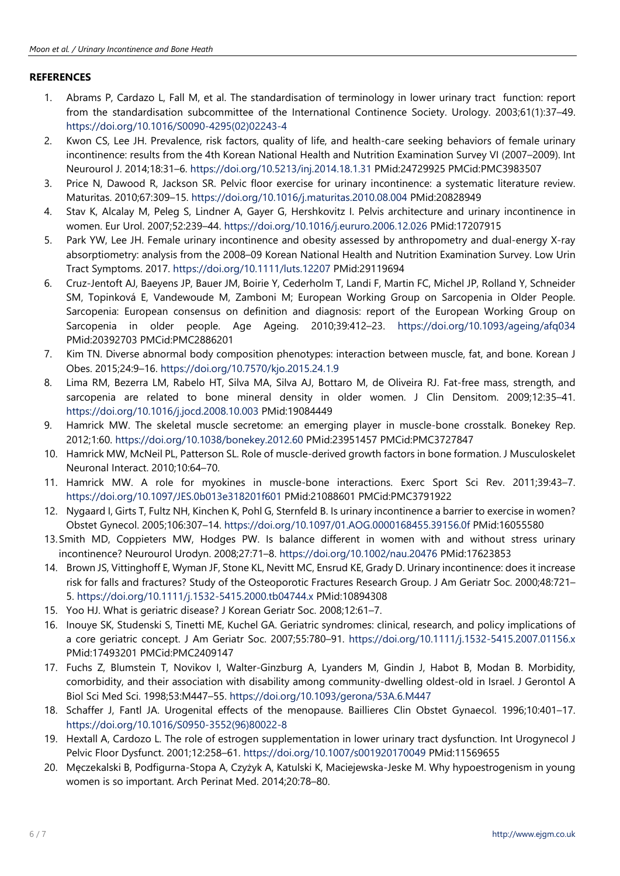# **REFERENCES**

- 1. Abrams P, Cardazo L, Fall M, et al. The standardisation of terminology in lower urinary tract function: report from the standardisation subcommittee of the International Continence Society. Urology. 2003;61(1):37–49. [https://doi.org/10.1016/S0090-4295\(02\)02243-4](https://doi.org/10.1016/S0090-4295(02)02243-4)
- 2. Kwon CS, Lee JH. Prevalence, risk factors, quality of life, and health-care seeking behaviors of female urinary incontinence: results from the 4th Korean National Health and Nutrition Examination Survey VI (2007–2009). Int Neurourol J. 2014;18:31–6. <https://doi.org/10.5213/inj.2014.18.1.31> PMid:24729925 PMCid:PMC3983507
- 3. Price N, Dawood R, Jackson SR. Pelvic floor exercise for urinary incontinence: a systematic literature review. Maturitas. 2010;67:309–15. <https://doi.org/10.1016/j.maturitas.2010.08.004> PMid:20828949
- 4. Stav K, Alcalay M, Peleg S, Lindner A, Gayer G, Hershkovitz I. Pelvis architecture and urinary incontinence in women. Eur Urol. 2007;52:239–44. <https://doi.org/10.1016/j.eururo.2006.12.026> PMid:17207915
- 5. Park YW, Lee JH. Female urinary incontinence and obesity assessed by anthropometry and dual-energy X-ray absorptiometry: analysis from the 2008–09 Korean National Health and Nutrition Examination Survey. Low Urin Tract Symptoms. 2017. <https://doi.org/10.1111/luts.12207> PMid:29119694
- 6. Cruz-Jentoft AJ, Baeyens JP, Bauer JM, Boirie Y, Cederholm T, Landi F, Martin FC, Michel JP, Rolland Y, Schneider SM, Topinková E, Vandewoude M, Zamboni M; European Working Group on Sarcopenia in Older People. Sarcopenia: European consensus on definition and diagnosis: report of the European Working Group on Sarcopenia in older people. Age Ageing. 2010;39:412–23. <https://doi.org/10.1093/ageing/afq034> PMid:20392703 PMCid:PMC2886201
- 7. Kim TN. Diverse abnormal body composition phenotypes: interaction between muscle, fat, and bone. Korean J Obes. 2015;24:9–16. <https://doi.org/10.7570/kjo.2015.24.1.9>
- 8. Lima RM, Bezerra LM, Rabelo HT, Silva MA, Silva AJ, Bottaro M, de Oliveira RJ. Fat-free mass, strength, and sarcopenia are related to bone mineral density in older women. J Clin Densitom. 2009;12:35–41. <https://doi.org/10.1016/j.jocd.2008.10.003> PMid:19084449
- 9. Hamrick MW. The skeletal muscle secretome: an emerging player in muscle-bone crosstalk. Bonekey Rep. 2012;1:60. <https://doi.org/10.1038/bonekey.2012.60> PMid:23951457 PMCid:PMC3727847
- 10. Hamrick MW, McNeil PL, Patterson SL. Role of muscle-derived growth factors in bone formation. J Musculoskelet Neuronal Interact. 2010;10:64–70.
- 11. Hamrick MW. A role for myokines in muscle-bone interactions. Exerc Sport Sci Rev. 2011;39:43–7. <https://doi.org/10.1097/JES.0b013e318201f601> PMid:21088601 PMCid:PMC3791922
- 12. Nygaard I, Girts T, Fultz NH, Kinchen K, Pohl G, Sternfeld B. Is urinary incontinence a barrier to exercise in women? Obstet Gynecol. 2005;106:307–14. <https://doi.org/10.1097/01.AOG.0000168455.39156.0f> PMid:16055580
- 13.Smith MD, Coppieters MW, Hodges PW. Is balance different in women with and without stress urinary incontinence? Neurourol Urodyn. 2008;27:71–8. <https://doi.org/10.1002/nau.20476> PMid:17623853
- 14. Brown JS, Vittinghoff E, Wyman JF, Stone KL, Nevitt MC, Ensrud KE, Grady D. Urinary incontinence: does it increase risk for falls and fractures? Study of the Osteoporotic Fractures Research Group. J Am Geriatr Soc. 2000;48:721– 5. <https://doi.org/10.1111/j.1532-5415.2000.tb04744.x> PMid:10894308
- 15. Yoo HJ. What is geriatric disease? J Korean Geriatr Soc. 2008;12:61–7.
- 16. Inouye SK, Studenski S, Tinetti ME, Kuchel GA. Geriatric syndromes: clinical, research, and policy implications of a core geriatric concept. J Am Geriatr Soc. 2007;55:780–91. <https://doi.org/10.1111/j.1532-5415.2007.01156.x> PMid:17493201 PMCid:PMC2409147
- 17. Fuchs Z, Blumstein T, Novikov I, Walter-Ginzburg A, Lyanders M, Gindin J, Habot B, Modan B. Morbidity, comorbidity, and their association with disability among community-dwelling oldest-old in Israel. J Gerontol A Biol Sci Med Sci. 1998;53:M447–55. <https://doi.org/10.1093/gerona/53A.6.M447>
- 18. Schaffer J, Fantl JA. Urogenital effects of the menopause. Baillieres Clin Obstet Gynaecol. 1996;10:401–17. [https://doi.org/10.1016/S0950-3552\(96\)80022-8](https://doi.org/10.1016/S0950-3552(96)80022-8)
- 19. Hextall A, Cardozo L. The role of estrogen supplementation in lower urinary tract dysfunction. Int Urogynecol J Pelvic Floor Dysfunct. 2001;12:258–61. <https://doi.org/10.1007/s001920170049> PMid:11569655
- 20. Męczekalski B, Podfigurna-Stopa A, Czyżyk A, Katulski K, Maciejewska-Jeske M. Why hypoestrogenism in young women is so important. Arch Perinat Med. 2014;20:78–80.